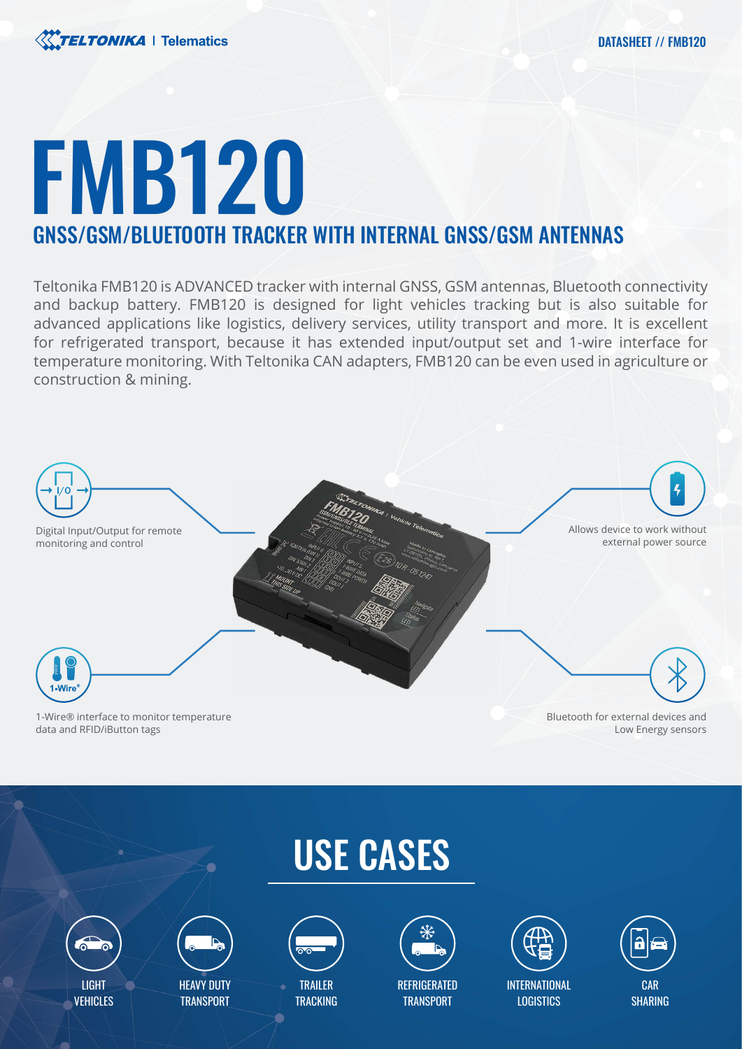# FMB120 GNSS/GSM/BLUETOOTH TRACKER WITH INTERNAL GNSS/GSM ANTENNAS

Teltonika FMB120 is ADVANCED tracker with internal GNSS, GSM antennas, Bluetooth connectivity and backup battery. FMB120 is designed for light vehicles tracking but is also suitable for advanced applications like logistics, delivery services, utility transport and more. It is excellent for refrigerated transport, because it has extended input/output set and 1-wire interface for temperature monitoring. With Teltonika CAN adapters, FMB120 can be even used in agriculture or construction & mining.



data and RFID/iButton tags

Low Energy sensors





VEHICLES



**HEAVY DUTY TRANSPORT** 



**TRAILER TRACKING** 



**REFRIGERATED TRANSPORT** 



INTERNATIONAL **LOGISTICS** 

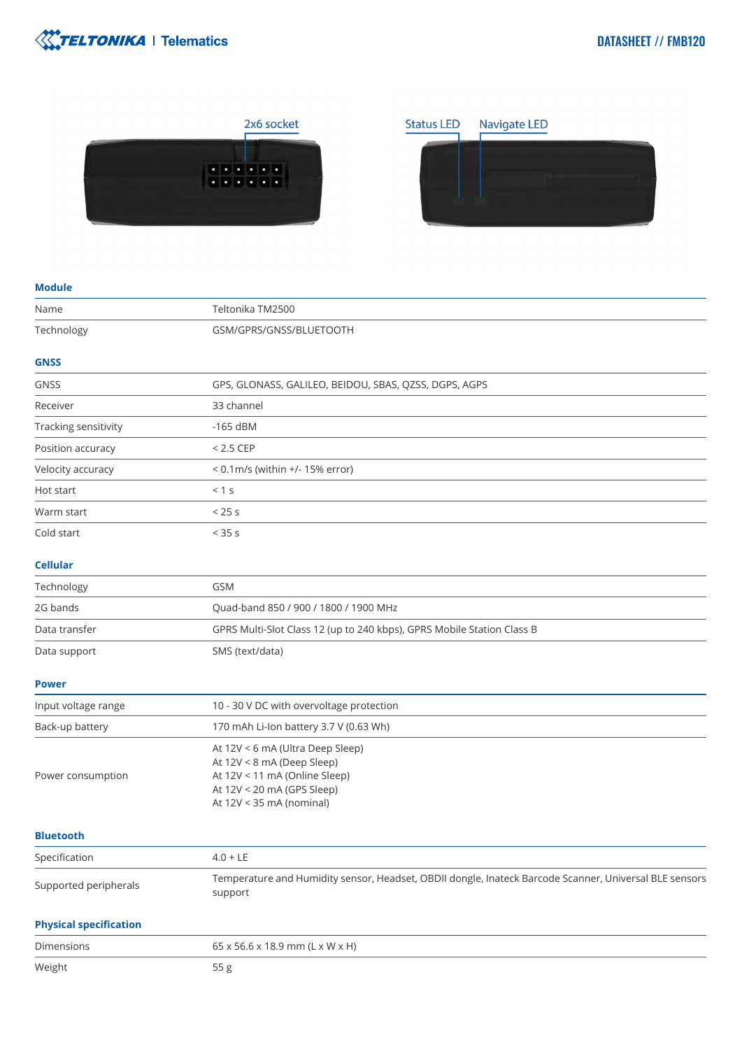





| <b>Module</b>                 |                                                                                                                                                           |
|-------------------------------|-----------------------------------------------------------------------------------------------------------------------------------------------------------|
| Name                          | Teltonika TM2500                                                                                                                                          |
| Technology                    | GSM/GPRS/GNSS/BLUETOOTH                                                                                                                                   |
| <b>GNSS</b>                   |                                                                                                                                                           |
| <b>GNSS</b>                   | GPS, GLONASS, GALILEO, BEIDOU, SBAS, QZSS, DGPS, AGPS                                                                                                     |
| Receiver                      | 33 channel                                                                                                                                                |
| Tracking sensitivity          | $-165$ dBM                                                                                                                                                |
| Position accuracy             | $< 2.5$ CEP                                                                                                                                               |
| Velocity accuracy             | < 0.1m/s (within +/- 15% error)                                                                                                                           |
| Hot start                     | < 1 s                                                                                                                                                     |
| Warm start                    | $<$ 25 s                                                                                                                                                  |
| Cold start                    | $< 35$ s                                                                                                                                                  |
| <b>Cellular</b>               |                                                                                                                                                           |
| Technology                    | <b>GSM</b>                                                                                                                                                |
| 2G bands                      | Quad-band 850 / 900 / 1800 / 1900 MHz                                                                                                                     |
| Data transfer                 | GPRS Multi-Slot Class 12 (up to 240 kbps), GPRS Mobile Station Class B                                                                                    |
| Data support                  | SMS (text/data)                                                                                                                                           |
| <b>Power</b>                  |                                                                                                                                                           |
| Input voltage range           | 10 - 30 V DC with overvoltage protection                                                                                                                  |
| Back-up battery               | 170 mAh Li-Ion battery 3.7 V (0.63 Wh)                                                                                                                    |
| Power consumption             | At 12V < 6 mA (Ultra Deep Sleep)<br>At 12V < 8 mA (Deep Sleep)<br>At 12V < 11 mA (Online Sleep)<br>At 12V < 20 mA (GPS Sleep)<br>At 12V < 35 mA (nominal) |
| <b>Bluetooth</b>              |                                                                                                                                                           |
| Specification                 | $4.0 + LE$                                                                                                                                                |
| Supported peripherals         | Temperature and Humidity sensor, Headset, OBDII dongle, Inateck Barcode Scanner, Universal BLE sensors<br>support                                         |
| <b>Physical specification</b> |                                                                                                                                                           |
| <b>Dimensions</b>             | 65 x 56.6 x 18.9 mm (L x W x H)                                                                                                                           |
| Weight                        | 55 g                                                                                                                                                      |